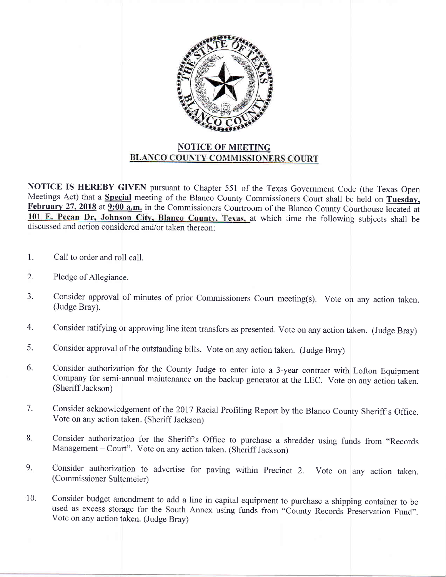

NOTICE IS HEREBY GIVEN pursuant to Chapter 551 of the Texas Government Code (the Texas Open Meetings Act) that a **Special** meeting of the Blanco County Commissioners Court shall be held on Tuesday, February 27, 2018 at 9:00 a.m. in the Commissioners Courtroom of the Blanco County Courthouse located at 101 E. Pecan Dr, Johnson City, Blanco County, Texas, at which time the following subjects shall be discussed and action considered and/or taken thereon:

- 1. Call to order and roll call.
- 2. Pledge of Allegiance.
- J. Consider approval of minutes of prior Commissioners Court meeting(s). Vote on any action taken. (Judge Bray).
- 4. Consider ratifying or approving line item transfers as presented. Vote on any action taken. (Judge Bray)
- Consider approval of the outstanding bills. Vote on any action taken. (Judge Bray) 5.
- Consider authorization for the County Judge to enter into a 3-year contract with Lofton Equipment Company for semi-annual maintenance on the backup generator at the LEC. Vote on any action taken. (Sheriff Jackson) 6.
- Consider acknowledgement of the 2017 Racial Profiling Report by the Blanco County Sheriff s Office.  $7.$ Vote on any action taken. (Sheriff Jackson)
- 8. Consider authorization for the Sheriff's Office to purchase a shredder using funds from "Records Management - Court". Vote on any action taken. (Sheriff Jackson)
- 9. Consider authorization to advertise for paving within Precinct 2. Vote on any action taken. (Commissioner Sultemeier)
- Consider budget amendment to add a line in capital equipment to purchase a shipping container to be used as excess storage for the South Annex using funds from "County Records Preservation Fund". Vote on any action taken. (Judge Bray) 10.